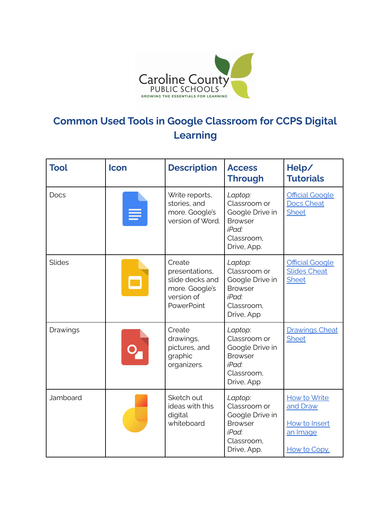

## **Common Used Tools in Google Classroom for CCPS Digital Learning**

| <b>Tool</b> | <b>Icon</b> | <b>Description</b>                                                                        | <b>Access</b><br>Through                                                                           | Help/<br><b>Tutorials</b>                                             |
|-------------|-------------|-------------------------------------------------------------------------------------------|----------------------------------------------------------------------------------------------------|-----------------------------------------------------------------------|
| Docs        |             | Write reports,<br>stories, and<br>more. Google's<br>version of Word.                      | Laptop:<br>Classroom or<br>Google Drive in<br><b>Browser</b><br>iPad:<br>Classroom,<br>Drive, App. | <b>Official Google</b><br><b>Docs Cheat</b><br><b>Sheet</b>           |
| Slides      |             | Create<br>presentations,<br>slide decks and<br>more. Google's<br>version of<br>PowerPoint | Laptop:<br>Classroom or<br>Google Drive in<br><b>Browser</b><br>iPad:<br>Classroom,<br>Drive, App  | <b>Official Google</b><br><b>Slides Cheat</b><br><b>Sheet</b>         |
| Drawings    |             | Create<br>drawings,<br>pictures, and<br>graphic<br>organizers.                            | Laptop:<br>Classroom or<br>Google Drive in<br><b>Browser</b><br>iPad:<br>Classroom,<br>Drive, App  | <b>Drawings Cheat</b><br><b>Sheet</b>                                 |
| Jamboard    |             | Sketch out<br>ideas with this<br>digital<br>whiteboard                                    | Laptop:<br>Classroom or<br>Google Drive in<br><b>Browser</b><br>iPad:<br>Classroom,<br>Drive, App. | How to Write<br>and Draw<br>How to Insert<br>an Image<br>How to Copy, |